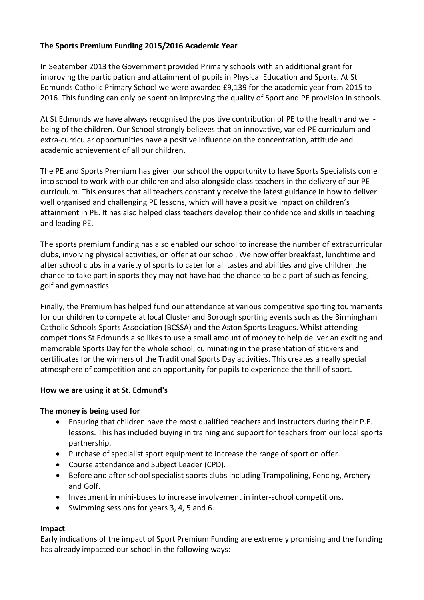# **The Sports Premium Funding 2015/2016 Academic Year**

In September 2013 the Government provided Primary schools with an additional grant for improving the participation and attainment of pupils in Physical Education and Sports. At St Edmunds Catholic Primary School we were awarded £9,139 for the academic year from 2015 to 2016. This funding can only be spent on improving the quality of Sport and PE provision in schools.

At St Edmunds we have always recognised the positive contribution of PE to the health and wellbeing of the children. Our School strongly believes that an innovative, varied PE curriculum and extra-curricular opportunities have a positive influence on the concentration, attitude and academic achievement of all our children.

The PE and Sports Premium has given our school the opportunity to have Sports Specialists come into school to work with our children and also alongside class teachers in the delivery of our PE curriculum. This ensures that all teachers constantly receive the latest guidance in how to deliver well organised and challenging PE lessons, which will have a positive impact on children's attainment in PE. It has also helped class teachers develop their confidence and skills in teaching and leading PE.

The sports premium funding has also enabled our school to increase the number of extracurricular clubs, involving physical activities, on offer at our school. We now offer breakfast, lunchtime and after school clubs in a variety of sports to cater for all tastes and abilities and give children the chance to take part in sports they may not have had the chance to be a part of such as fencing, golf and gymnastics.

Finally, the Premium has helped fund our attendance at various competitive sporting tournaments for our children to compete at local Cluster and Borough sporting events such as the Birmingham Catholic Schools Sports Association (BCSSA) and the Aston Sports Leagues. Whilst attending competitions St Edmunds also likes to use a small amount of money to help deliver an exciting and memorable Sports Day for the whole school, culminating in the presentation of stickers and certificates for the winners of the Traditional Sports Day activities. This creates a really special atmosphere of competition and an opportunity for pupils to experience the thrill of sport.

### **How we are using it at St. Edmund's**

### **The money is being used for**

- Ensuring that children have the most qualified teachers and instructors during their P.E. lessons. This has included buying in training and support for teachers from our local sports partnership.
- Purchase of specialist sport equipment to increase the range of sport on offer.
- Course attendance and Subject Leader (CPD).
- Before and after school specialist sports clubs including Trampolining, Fencing, Archery and Golf.
- Investment in mini-buses to increase involvement in inter-school competitions.
- Swimming sessions for years 3, 4, 5 and 6.

### **Impact**

Early indications of the impact of Sport Premium Funding are extremely promising and the funding has already impacted our school in the following ways: